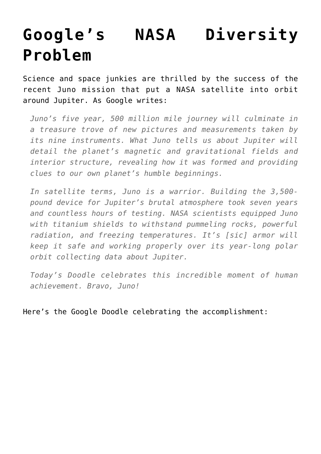## **[Google's NASA Diversity](https://intellectualtakeout.org/2016/07/googles-nasa-diversity-problem/) [Problem](https://intellectualtakeout.org/2016/07/googles-nasa-diversity-problem/)**

Science and space junkies are thrilled by the success of the recent Juno mission that put a NASA satellite into orbit around Jupiter. As Google writes:

*Juno's five year, 500 million mile journey will culminate in a treasure trove of new pictures and measurements taken by its nine instruments. What Juno tells us about Jupiter will detail the planet's magnetic and gravitational fields and interior structure, revealing how it was formed and providing clues to our own planet's humble beginnings.*

*In satellite terms, Juno is a warrior. Building the 3,500 pound device for Jupiter's brutal atmosphere took seven years and countless hours of testing. NASA scientists equipped Juno with titanium shields to withstand pummeling rocks, powerful radiation, and freezing temperatures. It's [sic] armor will keep it safe and working properly over its year-long polar orbit collecting data about Jupiter.*

*Today's Doodle celebrates this incredible moment of human achievement. Bravo, Juno!*

Here's the Google Doodle celebrating the accomplishment: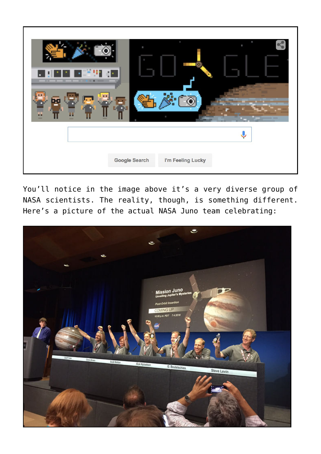

You'll notice in the image above it's a very diverse group of NASA scientists. The reality, though, is something different. Here's a picture of the actual NASA Juno team celebrating: